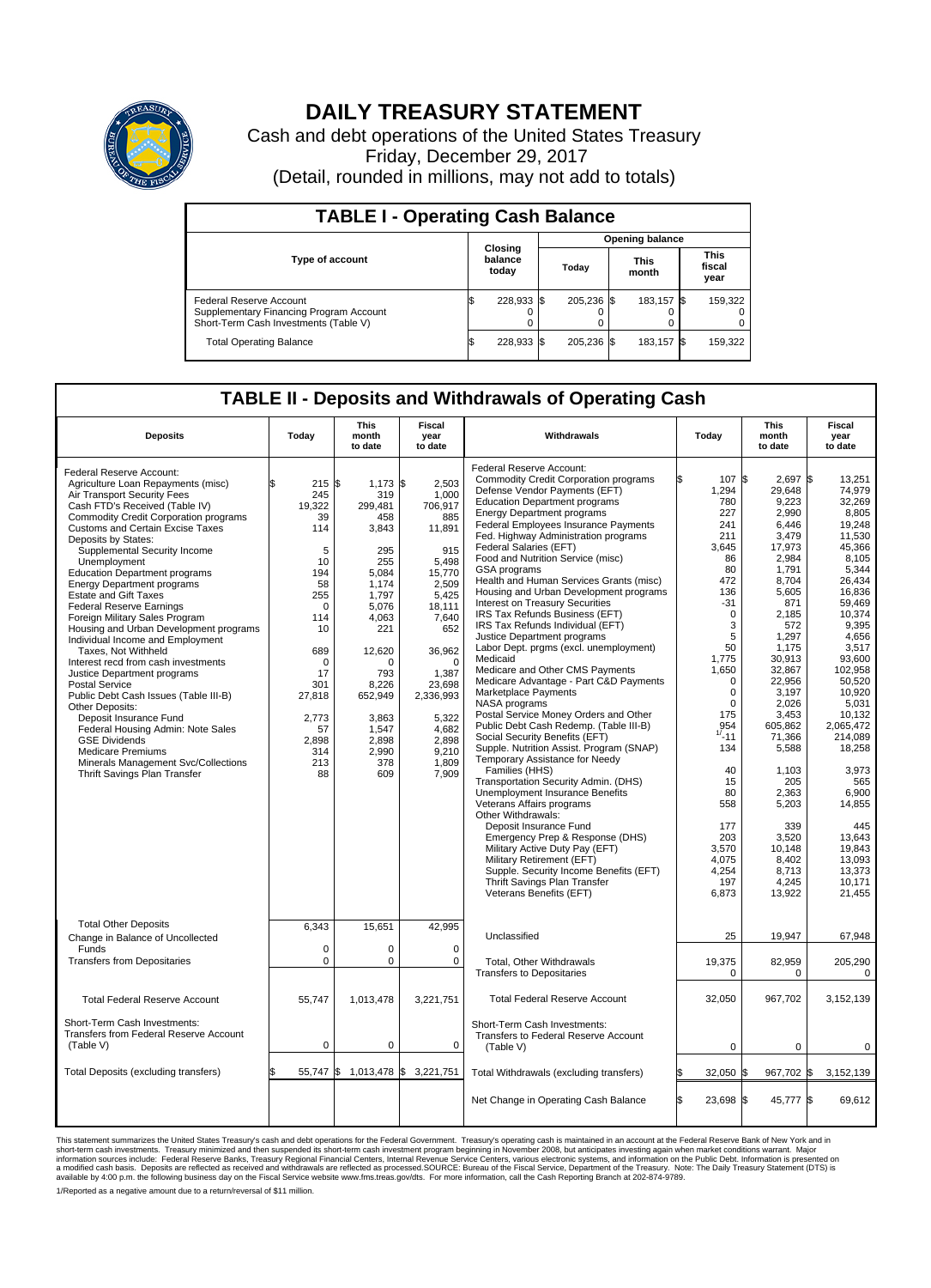

## **DAILY TREASURY STATEMENT**

Cash and debt operations of the United States Treasury Friday, December 29, 2017 (Detail, rounded in millions, may not add to totals)

| <b>TABLE I - Operating Cash Balance</b>                                                                     |                             |            |       |                        |                      |            |                               |         |  |  |  |
|-------------------------------------------------------------------------------------------------------------|-----------------------------|------------|-------|------------------------|----------------------|------------|-------------------------------|---------|--|--|--|
|                                                                                                             |                             |            |       | <b>Opening balance</b> |                      |            |                               |         |  |  |  |
| <b>Type of account</b>                                                                                      | Closing<br>balance<br>today |            | Today |                        | <b>This</b><br>month |            | <b>This</b><br>fiscal<br>year |         |  |  |  |
| Federal Reserve Account<br>Supplementary Financing Program Account<br>Short-Term Cash Investments (Table V) |                             | 228,933    |       | 205.236 \$             |                      | 183.157 \$ |                               | 159,322 |  |  |  |
| <b>Total Operating Balance</b>                                                                              |                             | 228,933 \$ |       | 205,236 \$             |                      | 183,157 \$ |                               | 159,322 |  |  |  |

## **TABLE II - Deposits and Withdrawals of Operating Cash**

| <b>Deposits</b>                                                                                                                                                                                                                                                                                                                                                                                                                                                                                                                                                                                                                                                                                                                                                                                                                                                                                                                        | Todav                                                                                                                                                                                   | This<br>month<br>to date                                                                                                                                                                                   | Fiscal<br>year<br>to date                                                                                                                                                                                                    | Withdrawals                                                                                                                                                                                                                                                                                                                                                                                                                                                                                                                                                                                                                                                                                                                                                                                                                                                                                                                                                                                                                                                                                                                                                                                                                                                                                                                                                      | Todav                                                                                                                                                                                                                                                                                                        | <b>This</b><br>month<br>to date                                                                                                                                                                                                                                                                                                         | Fiscal<br>year<br>to date                                                                                                                                                                                                                                                                                                                                  |
|----------------------------------------------------------------------------------------------------------------------------------------------------------------------------------------------------------------------------------------------------------------------------------------------------------------------------------------------------------------------------------------------------------------------------------------------------------------------------------------------------------------------------------------------------------------------------------------------------------------------------------------------------------------------------------------------------------------------------------------------------------------------------------------------------------------------------------------------------------------------------------------------------------------------------------------|-----------------------------------------------------------------------------------------------------------------------------------------------------------------------------------------|------------------------------------------------------------------------------------------------------------------------------------------------------------------------------------------------------------|------------------------------------------------------------------------------------------------------------------------------------------------------------------------------------------------------------------------------|------------------------------------------------------------------------------------------------------------------------------------------------------------------------------------------------------------------------------------------------------------------------------------------------------------------------------------------------------------------------------------------------------------------------------------------------------------------------------------------------------------------------------------------------------------------------------------------------------------------------------------------------------------------------------------------------------------------------------------------------------------------------------------------------------------------------------------------------------------------------------------------------------------------------------------------------------------------------------------------------------------------------------------------------------------------------------------------------------------------------------------------------------------------------------------------------------------------------------------------------------------------------------------------------------------------------------------------------------------------|--------------------------------------------------------------------------------------------------------------------------------------------------------------------------------------------------------------------------------------------------------------------------------------------------------------|-----------------------------------------------------------------------------------------------------------------------------------------------------------------------------------------------------------------------------------------------------------------------------------------------------------------------------------------|------------------------------------------------------------------------------------------------------------------------------------------------------------------------------------------------------------------------------------------------------------------------------------------------------------------------------------------------------------|
| Federal Reserve Account:<br>Agriculture Loan Repayments (misc)<br>Air Transport Security Fees<br>Cash FTD's Received (Table IV)<br><b>Commodity Credit Corporation programs</b><br><b>Customs and Certain Excise Taxes</b><br>Deposits by States:<br>Supplemental Security Income<br>Unemployment<br><b>Education Department programs</b><br><b>Energy Department programs</b><br><b>Estate and Gift Taxes</b><br><b>Federal Reserve Earnings</b><br>Foreign Military Sales Program<br>Housing and Urban Development programs<br>Individual Income and Employment<br>Taxes. Not Withheld<br>Interest recd from cash investments<br>Justice Department programs<br>Postal Service<br>Public Debt Cash Issues (Table III-B)<br>Other Deposits:<br>Deposit Insurance Fund<br>Federal Housing Admin: Note Sales<br><b>GSE Dividends</b><br><b>Medicare Premiums</b><br>Minerals Management Svc/Collections<br>Thrift Savings Plan Transfer | \$.<br>215S<br>245<br>19,322<br>39<br>114<br>5<br>10<br>194<br>58<br>255<br>$\Omega$<br>114<br>10<br>689<br>$\Omega$<br>17<br>301<br>27,818<br>2,773<br>57<br>2,898<br>314<br>213<br>88 | $1,173$ \$<br>319<br>299,481<br>458<br>3,843<br>295<br>255<br>5,084<br>1,174<br>1,797<br>5.076<br>4,063<br>221<br>12,620<br>O<br>793<br>8.226<br>652,949<br>3,863<br>1,547<br>2,898<br>2,990<br>378<br>609 | 2,503<br>1,000<br>706,917<br>885<br>11,891<br>915<br>5,498<br>15,770<br>2,509<br>5,425<br>18.111<br>7,640<br>652<br>36,962<br>$\Omega$<br>1,387<br>23,698<br>2,336,993<br>5,322<br>4,682<br>2.898<br>9,210<br>1,809<br>7,909 | Federal Reserve Account:<br><b>Commodity Credit Corporation programs</b><br>Defense Vendor Payments (EFT)<br><b>Education Department programs</b><br><b>Energy Department programs</b><br><b>Federal Employees Insurance Payments</b><br>Fed. Highway Administration programs<br><b>Federal Salaries (EFT)</b><br>Food and Nutrition Service (misc)<br>GSA programs<br>Health and Human Services Grants (misc)<br>Housing and Urban Development programs<br>Interest on Treasury Securities<br>IRS Tax Refunds Business (EFT)<br>IRS Tax Refunds Individual (EFT)<br>Justice Department programs<br>Labor Dept. prgms (excl. unemployment)<br>Medicaid<br>Medicare and Other CMS Payments<br>Medicare Advantage - Part C&D Payments<br>Marketplace Payments<br>NASA programs<br>Postal Service Money Orders and Other<br>Public Debt Cash Redemp. (Table III-B)<br>Social Security Benefits (EFT)<br>Supple. Nutrition Assist. Program (SNAP)<br>Temporary Assistance for Needy<br>Families (HHS)<br>Transportation Security Admin. (DHS)<br>Unemployment Insurance Benefits<br>Veterans Affairs programs<br>Other Withdrawals:<br>Deposit Insurance Fund<br>Emergency Prep & Response (DHS)<br>Military Active Duty Pay (EFT)<br>Military Retirement (EFT)<br>Supple. Security Income Benefits (EFT)<br>Thrift Savings Plan Transfer<br>Veterans Benefits (EFT) | 107 \$<br>ß.<br>1,294<br>780<br>227<br>241<br>211<br>3,645<br>86<br>80<br>472<br>136<br>$-31$<br>$\mathbf 0$<br>3<br>5<br>50<br>1,775<br>1,650<br>$\Omega$<br>$\mathbf 0$<br>$\mathbf 0$<br>175<br>954<br>$1/ - 11$<br>134<br>40<br>15<br>80<br>558<br>177<br>203<br>3,570<br>4,075<br>4,254<br>197<br>6,873 | $2.697$ \$<br>29,648<br>9,223<br>2,990<br>6.446<br>3,479<br>17,973<br>2,984<br>1.791<br>8,704<br>5.605<br>871<br>2,185<br>572<br>1.297<br>1.175<br>30,913<br>32,867<br>22.956<br>3,197<br>2,026<br>3.453<br>605.862<br>71,366<br>5,588<br>1,103<br>205<br>2.363<br>5,203<br>339<br>3.520<br>10.148<br>8,402<br>8,713<br>4,245<br>13,922 | 13,251<br>74.979<br>32,269<br>8.805<br>19,248<br>11,530<br>45,366<br>8.105<br>5,344<br>26,434<br>16.836<br>59.469<br>10.374<br>9,395<br>4.656<br>3.517<br>93,600<br>102,958<br>50.520<br>10,920<br>5,031<br>10.132<br>2.065.472<br>214,089<br>18,258<br>3,973<br>565<br>6.900<br>14,855<br>445<br>13.643<br>19.843<br>13,093<br>13,373<br>10,171<br>21,455 |
| <b>Total Other Deposits</b><br>Change in Balance of Uncollected<br>Funds<br><b>Transfers from Depositaries</b>                                                                                                                                                                                                                                                                                                                                                                                                                                                                                                                                                                                                                                                                                                                                                                                                                         | 6,343<br>0<br>$\mathbf 0$                                                                                                                                                               | 15,651<br>$\Omega$<br>0                                                                                                                                                                                    | 42,995<br>$\Omega$<br>$\Omega$                                                                                                                                                                                               | Unclassified<br>Total, Other Withdrawals<br>Transfers to Depositaries                                                                                                                                                                                                                                                                                                                                                                                                                                                                                                                                                                                                                                                                                                                                                                                                                                                                                                                                                                                                                                                                                                                                                                                                                                                                                            | 25<br>19.375<br>$\Omega$                                                                                                                                                                                                                                                                                     | 19,947<br>82,959<br>$\mathbf 0$                                                                                                                                                                                                                                                                                                         | 67,948<br>205,290<br>$\Omega$                                                                                                                                                                                                                                                                                                                              |
| <b>Total Federal Reserve Account</b>                                                                                                                                                                                                                                                                                                                                                                                                                                                                                                                                                                                                                                                                                                                                                                                                                                                                                                   | 55,747                                                                                                                                                                                  | 1,013,478                                                                                                                                                                                                  | 3,221,751                                                                                                                                                                                                                    | <b>Total Federal Reserve Account</b>                                                                                                                                                                                                                                                                                                                                                                                                                                                                                                                                                                                                                                                                                                                                                                                                                                                                                                                                                                                                                                                                                                                                                                                                                                                                                                                             | 32,050                                                                                                                                                                                                                                                                                                       | 967,702                                                                                                                                                                                                                                                                                                                                 | 3,152,139                                                                                                                                                                                                                                                                                                                                                  |
| Short-Term Cash Investments:<br>Transfers from Federal Reserve Account<br>(Table V)                                                                                                                                                                                                                                                                                                                                                                                                                                                                                                                                                                                                                                                                                                                                                                                                                                                    | $\pmb{0}$                                                                                                                                                                               | 0                                                                                                                                                                                                          | 0                                                                                                                                                                                                                            | Short-Term Cash Investments:<br>Transfers to Federal Reserve Account<br>(Table V)                                                                                                                                                                                                                                                                                                                                                                                                                                                                                                                                                                                                                                                                                                                                                                                                                                                                                                                                                                                                                                                                                                                                                                                                                                                                                | 0                                                                                                                                                                                                                                                                                                            | $\pmb{0}$                                                                                                                                                                                                                                                                                                                               | $\mathbf 0$                                                                                                                                                                                                                                                                                                                                                |
| Total Deposits (excluding transfers)                                                                                                                                                                                                                                                                                                                                                                                                                                                                                                                                                                                                                                                                                                                                                                                                                                                                                                   | \$<br>55.747 \$                                                                                                                                                                         |                                                                                                                                                                                                            | 1,013,478 \$ 3,221,751                                                                                                                                                                                                       | Total Withdrawals (excluding transfers)                                                                                                                                                                                                                                                                                                                                                                                                                                                                                                                                                                                                                                                                                                                                                                                                                                                                                                                                                                                                                                                                                                                                                                                                                                                                                                                          | 32,050                                                                                                                                                                                                                                                                                                       | 967,702 \$<br>ß.                                                                                                                                                                                                                                                                                                                        | 3,152,139                                                                                                                                                                                                                                                                                                                                                  |
|                                                                                                                                                                                                                                                                                                                                                                                                                                                                                                                                                                                                                                                                                                                                                                                                                                                                                                                                        |                                                                                                                                                                                         |                                                                                                                                                                                                            |                                                                                                                                                                                                                              | Net Change in Operating Cash Balance                                                                                                                                                                                                                                                                                                                                                                                                                                                                                                                                                                                                                                                                                                                                                                                                                                                                                                                                                                                                                                                                                                                                                                                                                                                                                                                             | l\$<br>23,698                                                                                                                                                                                                                                                                                                | 45,777 \$<br>\$                                                                                                                                                                                                                                                                                                                         | 69.612                                                                                                                                                                                                                                                                                                                                                     |

This statement summarizes the United States Treasury's cash and debt operations for the Federal Government. Treasury soperating in November 2008, but anticiarded in a cocount at the Federal Reserve Bank of New York and in<br> 1/Reported as a negative amount due to a return/reversal of \$11 million.